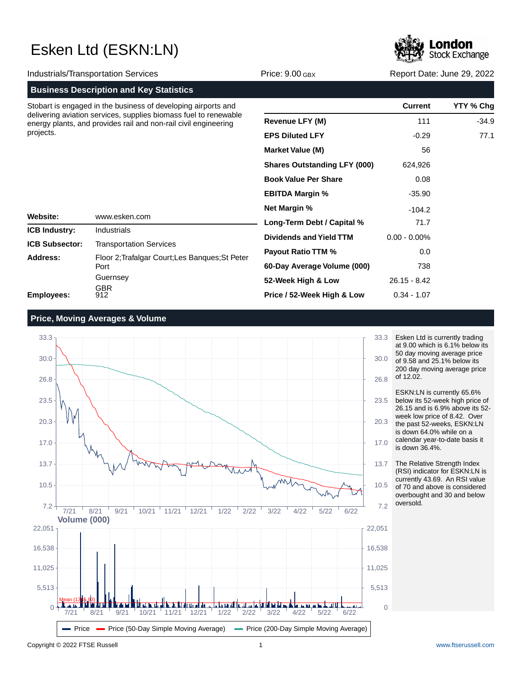

| <b>Industrials/Transportation Services</b>                                                                                                                                                                        |                                                                     | Price: $9.00$ GBX                   | Report Date: June 29, 2022 |           |
|-------------------------------------------------------------------------------------------------------------------------------------------------------------------------------------------------------------------|---------------------------------------------------------------------|-------------------------------------|----------------------------|-----------|
|                                                                                                                                                                                                                   | <b>Business Description and Key Statistics</b>                      |                                     |                            |           |
| Stobart is engaged in the business of developing airports and<br>delivering aviation services, supplies biomass fuel to renewable<br>energy plants, and provides rail and non-rail civil engineering<br>projects. |                                                                     |                                     | <b>Current</b>             | YTY % Chg |
|                                                                                                                                                                                                                   |                                                                     | <b>Revenue LFY (M)</b>              | 111                        | $-34.9$   |
|                                                                                                                                                                                                                   |                                                                     | <b>EPS Diluted LFY</b>              | $-0.29$                    | 77.1      |
|                                                                                                                                                                                                                   |                                                                     | <b>Market Value (M)</b>             | 56                         |           |
|                                                                                                                                                                                                                   |                                                                     | <b>Shares Outstanding LFY (000)</b> | 624,926                    |           |
|                                                                                                                                                                                                                   |                                                                     | <b>Book Value Per Share</b>         | 0.08                       |           |
|                                                                                                                                                                                                                   |                                                                     | <b>EBITDA Margin %</b>              | $-35.90$                   |           |
|                                                                                                                                                                                                                   |                                                                     | <b>Net Margin %</b>                 | $-104.2$                   |           |
| Website:                                                                                                                                                                                                          | www.esken.com                                                       | Long-Term Debt / Capital %          | 71.7                       |           |
| <b>ICB Industry:</b>                                                                                                                                                                                              | Industrials                                                         | Dividends and Yield TTM             | $0.00 - 0.00\%$            |           |
| <b>ICB Subsector:</b>                                                                                                                                                                                             | <b>Transportation Services</b>                                      | <b>Payout Ratio TTM %</b>           | 0.0                        |           |
| Address:                                                                                                                                                                                                          | Floor 2; Trafalgar Court; Les Banques; St Peter<br>Port<br>Guernsey | 60-Day Average Volume (000)         | 738                        |           |
|                                                                                                                                                                                                                   |                                                                     | 52-Week High & Low                  | $26.15 - 8.42$             |           |
| <b>Employees:</b>                                                                                                                                                                                                 | <b>GBR</b><br>912                                                   | Price / 52-Week High & Low          | $0.34 - 1.07$              |           |

### **Price, Moving Averages & Volume**



Esken Ltd is currently trading at 9.00 which is 6.1% below its 50 day moving average price of 9.58 and 25.1% below its 200 day moving average price of 12.02.

ESKN:LN is currently 65.6% below its 52-week high price of 26.15 and is 6.9% above its 52 week low price of 8.42. Over the past 52-weeks, ESKN:LN is down 64.0% while on a calendar year-to-date basis it is down 36.4%.

The Relative Strength Index (RSI) indicator for ESKN:LN is currently 43.69. An RSI value of 70 and above is considered overbought and 30 and below oversold.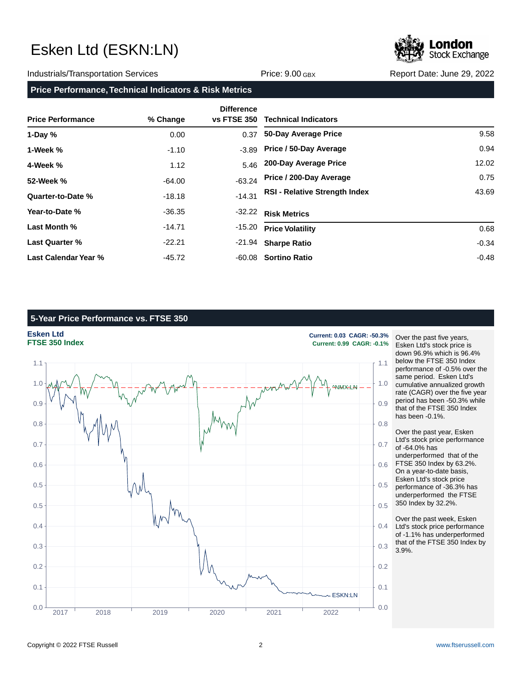### Industrials/Transportation Services **Accord Price: 9.00 GBX** Report Date: June 29, 2022

**Price Performance, Technical Indicators & Risk Metrics**

| <b>Price Performance</b> | % Change | <b>Difference</b><br><b>vs FTSE 350</b> | <b>Technical Indicators</b>          |         |
|--------------------------|----------|-----------------------------------------|--------------------------------------|---------|
| 1-Day $%$                | 0.00     | 0.37                                    | 50-Day Average Price                 | 9.58    |
| 1-Week %                 | $-1.10$  | $-3.89$                                 | Price / 50-Day Average               | 0.94    |
| 4-Week %                 | 1.12     | 5.46                                    | 200-Day Average Price                | 12.02   |
| 52-Week %                | $-64.00$ | $-63.24$                                | Price / 200-Day Average              | 0.75    |
| Quarter-to-Date %        | $-18.18$ | $-14.31$                                | <b>RSI - Relative Strength Index</b> | 43.69   |
| Year-to-Date %           | $-36.35$ | $-32.22$                                | <b>Risk Metrics</b>                  |         |
| Last Month %             | $-14.71$ | $-15.20$                                | <b>Price Volatility</b>              | 0.68    |
| <b>Last Quarter %</b>    | $-22.21$ | -21.94                                  | <b>Sharpe Ratio</b>                  | $-0.34$ |
| Last Calendar Year %     | $-45.72$ |                                         | -60.08 Sortino Ratio                 | $-0.48$ |

## **5-Year Price Performance vs. FTSE 350**



Over the past five years, Esken Ltd's stock price is down 96.9% which is 96.4% below the FTSE 350 Index performance of -0.5% over the same period. Esken Ltd's cumulative annualized growth rate (CAGR) over the five year period has been -50.3% while that of the FTSE 350 Index has been -0.1%.

Over the past year, Esken Ltd's stock price performance of -64.0% has underperformed that of the FTSE 350 Index by 63.2%. On a year-to-date basis, Esken Ltd's stock price performance of -36.3% has underperformed the FTSE 350 Index by 32.2%.

Over the past week, Esken Ltd's stock price performance of -1.1% has underperformed that of the FTSE 350 Index by 3.9%.

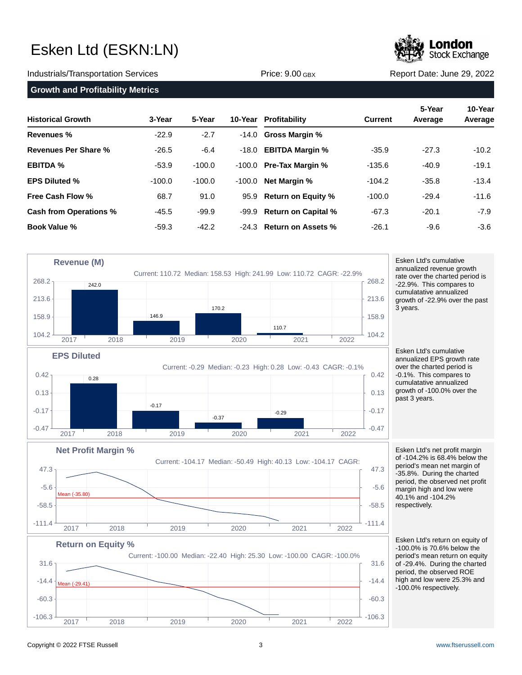### Industrials/Transportation Services **Network Service: 9.00 GBX** Report Date: June 29, 2022

## **Growth and Profitability Metrics**

|               | 5-Year                   |
|---------------|--------------------------|
|               |                          |
| 11100.0.000DA | <b>INCPORT Date: 001</b> |

| <b>Historical Growth</b>      | 3-Year   | 5-Year   |        | 10-Year Profitability     | <b>Current</b> | J-TEAT<br>Average | 10-16a1<br>Average |
|-------------------------------|----------|----------|--------|---------------------------|----------------|-------------------|--------------------|
| <b>Revenues</b> %             | $-22.9$  | $-2.7$   |        | $-14.0$ Gross Margin %    |                |                   |                    |
| <b>Revenues Per Share %</b>   | $-26.5$  | $-6.4$   | -18.0  | <b>EBITDA Margin %</b>    | $-35.9$        | $-27.3$           | $-10.2$            |
| <b>EBITDA %</b>               | $-53.9$  | $-100.0$ | -100.0 | <b>Pre-Tax Margin %</b>   | $-135.6$       | $-40.9$           | $-19.1$            |
| <b>EPS Diluted %</b>          | $-100.0$ | $-100.0$ | -100.0 | <b>Net Margin %</b>       | $-104.2$       | $-35.8$           | $-13.4$            |
| Free Cash Flow %              | 68.7     | 91.0     |        | 95.9 Return on Equity %   | $-100.0$       | $-29.4$           | $-11.6$            |
| <b>Cash from Operations %</b> | $-45.5$  | $-99.9$  |        | -99.9 Return on Capital % | $-67.3$        | $-20.1$           | $-7.9$             |
| Book Value %                  | $-59.3$  | $-42.2$  |        | -24.3 Return on Assets %  | $-26.1$        | $-9.6$            | -3.6               |



Esken Ltd's cumulative annualized EPS growth rate

over the charted period is -0.1%. This compares to cumulatative annualized growth of -100.0% over the

Esken Ltd's net profit margin of -104.2% is 68.4% below the period's mean net margin of -35.8%. During the charted period, the observed net profit margin high and low were 40.1% and -104.2% respectively.

Esken Ltd's return on equity of -100.0% is 70.6% below the period's mean return on equity of -29.4%. During the charted period, the observed ROE high and low were 25.3% and -100.0% respectively.





**5-Year 10-Year**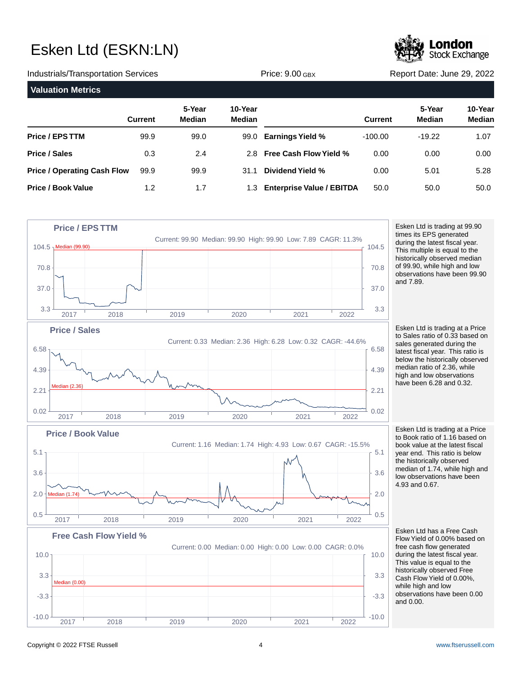

Industrials/Transportation Services **Network Constructs** Price: 9.00 GBX Report Date: June 29, 2022 **Valuation Metrics 5-Year 10-Year Current Median Median Price / EPS TTM Price / Sales Price / Operating Cash Flow Price / Book Value 5-Year 10-Year Current Median Median Earnings Yield % Free Cash Flow Yield % Dividend Yield %** 31.1 **Enterprise Value / EBITDA** 1.3 99.9 0.3 99.9 1.2 99.0 2.4 99.9 1.7 99.0 2.8 -100.00 0.00 0.00 50.0 -19.22 0.00 5.01 50.0 1.07 0.00 5.28 50.0



Esken Ltd is trading at 99.90 times its EPS generated during the latest fiscal year. This multiple is equal to the historically observed median of 99.90, while high and low observations have been 99.90

Esken Ltd is trading at a Price to Sales ratio of 0.33 based on sales generated during the latest fiscal year. This ratio is below the historically observed median ratio of 2.36, while high and low observations have been 6.28 and 0.32.

Esken Ltd is trading at a Price to Book ratio of 1.16 based on book value at the latest fiscal year end. This ratio is below the historically observed median of 1.74, while high and low observations have been 4.93 and 0.67.

Esken Ltd has a Free Cash Flow Yield of 0.00% based on free cash flow generated during the latest fiscal year. This value is equal to the historically observed Free Cash Flow Yield of 0.00%, while high and low observations have been 0.00 and 0.00.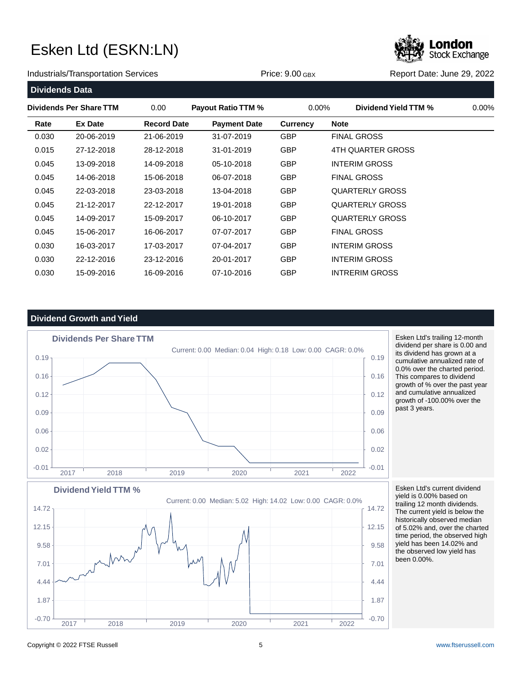Stock Exchange

Industrials/Transportation Services **Accord Price: 9.00 GBX** Report Date: June 29, 2022

| <b>Dividends Data</b> |                         |                    |                           |                 |                        |          |
|-----------------------|-------------------------|--------------------|---------------------------|-----------------|------------------------|----------|
|                       | Dividends Per Share TTM | 0.00               | <b>Payout Ratio TTM %</b> | $0.00\%$        | Dividend Yield TTM %   | $0.00\%$ |
| Rate                  | <b>Ex Date</b>          | <b>Record Date</b> | <b>Payment Date</b>       | <b>Currency</b> | <b>Note</b>            |          |
| 0.030                 | 20-06-2019              | 21-06-2019         | 31-07-2019                | <b>GBP</b>      | <b>FINAL GROSS</b>     |          |
| 0.015                 | 27-12-2018              | 28-12-2018         | 31-01-2019                | <b>GBP</b>      | 4TH QUARTER GROSS      |          |
| 0.045                 | 13-09-2018              | 14-09-2018         | 05-10-2018                | <b>GBP</b>      | <b>INTERIM GROSS</b>   |          |
| 0.045                 | 14-06-2018              | 15-06-2018         | 06-07-2018                | <b>GBP</b>      | <b>FINAL GROSS</b>     |          |
| 0.045                 | 22-03-2018              | 23-03-2018         | 13-04-2018                | <b>GBP</b>      | <b>QUARTERLY GROSS</b> |          |
| 0.045                 | 21-12-2017              | 22-12-2017         | 19-01-2018                | <b>GBP</b>      | <b>QUARTERLY GROSS</b> |          |
| 0.045                 | 14-09-2017              | 15-09-2017         | 06-10-2017                | <b>GBP</b>      | <b>QUARTERLY GROSS</b> |          |
| 0.045                 | 15-06-2017              | 16-06-2017         | 07-07-2017                | <b>GBP</b>      | <b>FINAL GROSS</b>     |          |
| 0.030                 | 16-03-2017              | 17-03-2017         | 07-04-2017                | <b>GBP</b>      | <b>INTERIM GROSS</b>   |          |
| 0.030                 | 22-12-2016              | 23-12-2016         | 20-01-2017                | <b>GBP</b>      | <b>INTERIM GROSS</b>   |          |
| 0.030                 | 15-09-2016              | 16-09-2016         | 07-10-2016                | <b>GBP</b>      | <b>INTRERIM GROSS</b>  |          |

## **Dividend Growth and Yield**



Esken Ltd's trailing 12-month dividend per share is 0.00 and its dividend has grown at a cumulative annualized rate of 0.0% over the charted period. This compares to dividend growth of % over the past year and cumulative annualized growth of -100.00% over the past 3 years.

Esken Ltd's current dividend yield is 0.00% based on trailing 12 month dividends. The current yield is below the historically observed median of 5.02% and, over the charted time period, the observed high yield has been 14.02% and the observed low yield has been 0.00%.

Current: 0.00 Median: 5.02 High: 14.02 Low: 0.00 CAGR: 0.0% **Dividend Yield TTM %**  $-0.70$   $-0.70$   $-0.70$   $-0.012$   $-0.012$   $-0.012$   $-0.001$   $-0.001$   $-0.001$   $-0.001$   $-0.001$   $-0.001$   $-0.001$   $-0.001$   $-0.001$   $-0.001$   $-0.001$   $-0.001$   $-0.001$   $-0.001$   $-0.001$   $-0.001$   $-0.001$   $-0.001$   $-0.001$ 1.87 and 1.87 in the contract of the contract of the contract of the contract of the contract of the contract of the contract of the contract of the contract of the contract of the contract of the contract of the contract  $4.44 \rightarrow 4.44$  $\sim$  7.01 | 7.01 | 7.01 | 7.01 | 7.01 | 7.01 | 7.01 | 7.01 | 7.01 | 7.01 | 7.01 | 7.01 | 7.01 | 7.01 | 7.01 | 7.01 | 7.01 | 7.01 | 7.01 | 7.01 | 7.01 | 7.01 | 7.01 | 7.01 | 7.01 | 7.01 | 7.01 | 7.01 | 7.01 | 7.01 | 7.01 | 9.58  $\left\{ 9.58 \right\}$  9.58 12.15 12.15 14.72 and the contract of the contract of the contract of the contract of the contract of the contract of the contract of the contract of the contract of the contract of the contract of the contract of the contract of the 2017 2018 2019 2020 2021 2022

### Copyright © 2022 FTSE Russell 5 [www.ftserussell.com](http://www.ftserussell.com)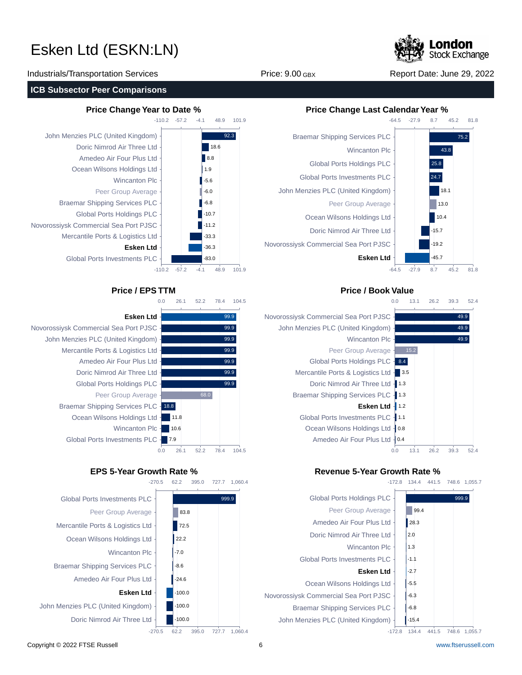**Stock Exchange** 

Industrials/Transportation Services The Contract Price: 9.00 GBX Report Date: June 29, 2022

### **ICB Subsector Peer Comparisons**

-110.2 -57.2  $-110.2$ John Menzies PLC (United Kingdom) Doric Nimrod Air Three Ltd Amedeo Air Four Plus Ltd Ocean Wilsons Holdings Ltd Wincanton Plc Peer Group Average Braemar Shipping Services PLC Global Ports Holdings PLC Novorossiysk Commercial Sea Port PJSC Mercantile Ports & Logistics Ltd **Esken Ltd** Global Ports Investments PLC



-57.2

-4.1

48.9

101.9

 $-4.1$ 

48.9 101.9

92.3

18.6 8.8 1.9  $-5.6$ -6.0  $-6.8$ -10.7  $\blacksquare$ -11.2 -33.3 -36.3 -83.0

## Novorossiysk Commercial Sea Port PJSC John Menzies PLC (United Kingdom) Mercantile Ports & Logistics Ltd Amedeo Air Four Plus Ltd Doric Nimrod Air Three Ltd Global Ports Holdings PLC Peer Group Average Braemar Shipping Services PLC - 18.8

Ocean Wilsons Holdings Ltd Wincanton Plc -Global Ports Investments PLC





## **Price Change Year to Date % Price Change Last Calendar Year %**



## **Price / EPS TTM Price / Book Value**



## **EPS 5-Year Growth Rate % Revenue 5-Year Growth Rate %**



-172.8 134.4 441.5 748.6 1,055.7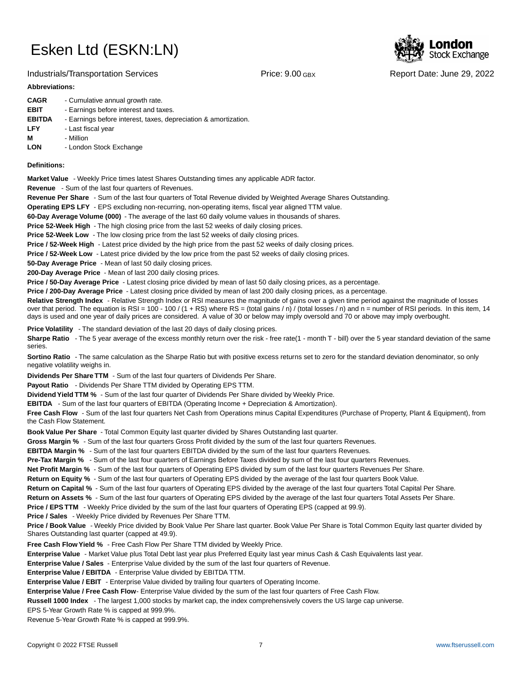## Industrials/Transportation Services **Network Constructs** Price: 9.00 GBX Report Date: June 29, 2022

Stock Exchange

### **Abbreviations:**

| <b>CAGR</b>   | - Cumulative annual growth rate.                                |
|---------------|-----------------------------------------------------------------|
| <b>EBIT</b>   | - Earnings before interest and taxes.                           |
| <b>EBITDA</b> | - Earnings before interest, taxes, depreciation & amortization. |
| <b>LFY</b>    | - Last fiscal year                                              |
| м             | - Million                                                       |
| <b>LON</b>    | - London Stock Exchange                                         |

### **Definitions:**

**Market Value** - Weekly Price times latest Shares Outstanding times any applicable ADR factor.

**Revenue** - Sum of the last four quarters of Revenues.

**Revenue Per Share** - Sum of the last four quarters of Total Revenue divided by Weighted Average Shares Outstanding.

**Operating EPS LFY** - EPS excluding non-recurring, non-operating items, fiscal year aligned TTM value.

60-Day Average Volume (000) - The average of the last 60 daily volume values in thousands of shares.

**Price 52-Week High** - The high closing price from the last 52 weeks of daily closing prices.

**Price 52-Week Low** - The low closing price from the last 52 weeks of daily closing prices.

**Price / 52-Week High** - Latest price divided by the high price from the past 52 weeks of daily closing prices.

**Price / 52-Week Low** - Latest price divided by the low price from the past 52 weeks of daily closing prices.

**50-Day Average Price** - Mean of last 50 daily closing prices.

**200-Day Average Price** - Mean of last 200 daily closing prices.

Price / 50-Day Average Price - Latest closing price divided by mean of last 50 daily closing prices, as a percentage.

**Price / 200-Day Average Price** - Latest closing price divided by mean of last 200 daily closing prices, as a percentage.

Relative Strength Index - Relative Strength Index or RSI measures the magnitude of gains over a given time period against the magnitude of losses over that period. The equation is RSI = 100 - 100 / (1 + RS) where RS = (total gains / n) / (total losses / n) and n = number of RSI periods. In this item, 14 days is used and one year of daily prices are considered. A value of 30 or below may imply oversold and 70 or above may imply overbought.

**Price Volatility** - The standard deviation of the last 20 days of daily closing prices.

Sharpe Ratio - The 5 year average of the excess monthly return over the risk - free rate(1 - month T - bill) over the 5 year standard deviation of the same series.

**Sortino Ratio** - The same calculation as the Sharpe Ratio but with positive excess returns set to zero for the standard deviation denominator, so only negative volatility weighs in.

**Dividends Per Share TTM** - Sum of the last four quarters of Dividends Per Share.

Payout Ratio - Dividends Per Share TTM divided by Operating EPS TTM.

**Dividend Yield TTM %** - Sum of the last four quarter of Dividends Per Share divided by Weekly Price.

**EBITDA** - Sum of the last four quarters of EBITDA (Operating Income + Depreciation & Amortization).

**Free Cash Flow** - Sum of the last four quarters Net Cash from Operations minus Capital Expenditures (Purchase of Property, Plant & Equipment), from the Cash Flow Statement.

**Book Value Per Share** - Total Common Equity last quarter divided by Shares Outstanding last quarter.

**Gross Margin %** - Sum of the last four quarters Gross Profit divided by the sum of the last four quarters Revenues.

**EBITDA Margin %** - Sum of the last four quarters EBITDA divided by the sum of the last four quarters Revenues.

**Pre-Tax Margin %** - Sum of the last four quarters of Earnings Before Taxes divided by sum of the last four quarters Revenues.

**Net Profit Margin %** - Sum of the last four quarters of Operating EPS divided by sum of the last four quarters Revenues Per Share.

**Return on Equity %** - Sum of the last four quarters of Operating EPS divided by the average of the last four quarters Book Value.

**Return on Capital %** - Sum of the last four quarters of Operating EPS divided by the average of the last four quarters Total Capital Per Share.

**Return on Assets %** - Sum of the last four quarters of Operating EPS divided by the average of the last four quarters Total Assets Per Share.

**Price / EPS TTM** - Weekly Price divided by the sum of the last four quarters of Operating EPS (capped at 99.9).

**Price / Sales** - Weekly Price divided by Revenues Per Share TTM.

**Price / Book Value** - Weekly Price divided by Book Value Per Share last quarter. Book Value Per Share is Total Common Equity last quarter divided by Shares Outstanding last quarter (capped at 49.9).

**Free Cash Flow Yield %** - Free Cash Flow Per Share TTM divided by Weekly Price.

Enterprise Value - Market Value plus Total Debt last year plus Preferred Equity last year minus Cash & Cash Equivalents last year.

**Enterprise Value / Sales** - Enterprise Value divided by the sum of the last four quarters of Revenue.

**Enterprise Value / EBITDA** - Enterprise Value divided by EBITDA TTM.

**Enterprise Value / EBIT** - Enterprise Value divided by trailing four quarters of Operating Income.

Enterprise Value / Free Cash Flow- Enterprise Value divided by the sum of the last four quarters of Free Cash Flow.

**Russell 1000 Index** - The largest 1,000 stocks by market cap, the index comprehensively covers the US large cap universe.

EPS 5-Year Growth Rate % is capped at 999.9%.

Revenue 5-Year Growth Rate % is capped at 999.9%.